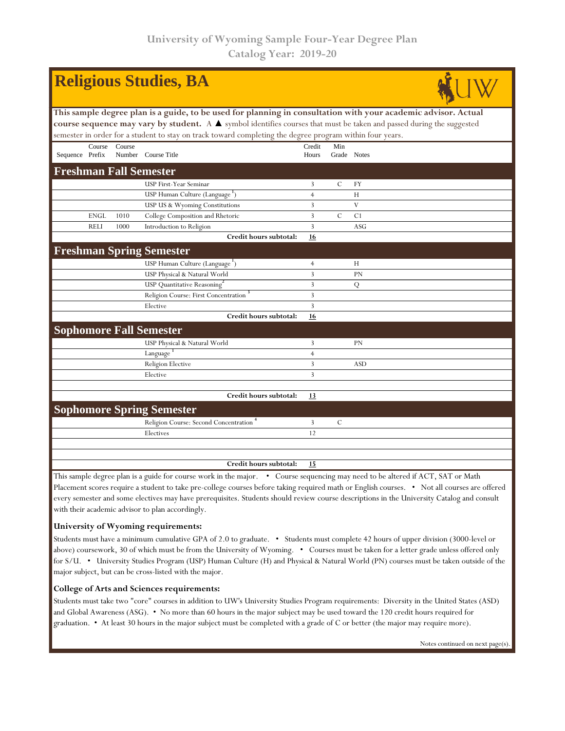| <b>Religious Studies, BA</b>                                                                                                    |                                                                                                                                                                                                                                                        |        |                                            |                |               |             |  |  |  |  |  |  |  |
|---------------------------------------------------------------------------------------------------------------------------------|--------------------------------------------------------------------------------------------------------------------------------------------------------------------------------------------------------------------------------------------------------|--------|--------------------------------------------|----------------|---------------|-------------|--|--|--|--|--|--|--|
|                                                                                                                                 | This sample degree plan is a guide, to be used for planning in consultation with your academic advisor. Actual<br>course sequence may vary by student. A $\blacktriangle$ symbol identifies courses that must be taken and passed during the suggested |        |                                            |                |               |             |  |  |  |  |  |  |  |
| semester in order for a student to stay on track toward completing the degree program within four years.                        |                                                                                                                                                                                                                                                        |        |                                            |                |               |             |  |  |  |  |  |  |  |
|                                                                                                                                 | Course                                                                                                                                                                                                                                                 | Course |                                            | Credit         | Min           |             |  |  |  |  |  |  |  |
| Sequence Prefix                                                                                                                 |                                                                                                                                                                                                                                                        |        | Number Course Title                        | Hours          |               | Grade Notes |  |  |  |  |  |  |  |
| <b>Freshman Fall Semester</b>                                                                                                   |                                                                                                                                                                                                                                                        |        |                                            |                |               |             |  |  |  |  |  |  |  |
|                                                                                                                                 |                                                                                                                                                                                                                                                        |        | USP First-Year Seminar                     | 3              | C             | FY          |  |  |  |  |  |  |  |
|                                                                                                                                 |                                                                                                                                                                                                                                                        |        | USP Human Culture (Language <sup>1</sup> ) | $\overline{4}$ |               | H           |  |  |  |  |  |  |  |
|                                                                                                                                 |                                                                                                                                                                                                                                                        |        | USP US & Wyoming Constitutions             | 3              |               | V           |  |  |  |  |  |  |  |
|                                                                                                                                 | <b>ENGL</b>                                                                                                                                                                                                                                            | 1010   | College Composition and Rhetoric           | $\overline{3}$ | $\mathcal{C}$ | C1          |  |  |  |  |  |  |  |
|                                                                                                                                 | <b>RELI</b>                                                                                                                                                                                                                                            | 1000   | Introduction to Religion                   | $\overline{3}$ |               | ASG         |  |  |  |  |  |  |  |
|                                                                                                                                 |                                                                                                                                                                                                                                                        |        | Credit hours subtotal:                     | 16             |               |             |  |  |  |  |  |  |  |
|                                                                                                                                 |                                                                                                                                                                                                                                                        |        | <b>Freshman Spring Semester</b>            |                |               |             |  |  |  |  |  |  |  |
|                                                                                                                                 |                                                                                                                                                                                                                                                        |        | USP Human Culture (Language <sup>1</sup> ) | $\overline{4}$ |               | Н           |  |  |  |  |  |  |  |
|                                                                                                                                 |                                                                                                                                                                                                                                                        |        | USP Physical & Natural World               | 3              |               | <b>PN</b>   |  |  |  |  |  |  |  |
|                                                                                                                                 |                                                                                                                                                                                                                                                        |        | USP Quantitative Reasoning <sup>2</sup>    | 3              |               | Q           |  |  |  |  |  |  |  |
|                                                                                                                                 |                                                                                                                                                                                                                                                        |        | Religion Course: First Concentration       | $\overline{3}$ |               |             |  |  |  |  |  |  |  |
|                                                                                                                                 |                                                                                                                                                                                                                                                        |        | Elective                                   | $\overline{3}$ |               |             |  |  |  |  |  |  |  |
|                                                                                                                                 |                                                                                                                                                                                                                                                        |        | Credit hours subtotal:                     | 16             |               |             |  |  |  |  |  |  |  |
|                                                                                                                                 |                                                                                                                                                                                                                                                        |        | <b>Sophomore Fall Semester</b>             |                |               |             |  |  |  |  |  |  |  |
|                                                                                                                                 |                                                                                                                                                                                                                                                        |        | USP Physical & Natural World               | 3              |               | <b>PN</b>   |  |  |  |  |  |  |  |
|                                                                                                                                 |                                                                                                                                                                                                                                                        |        | Language <sup>1</sup>                      | $\overline{4}$ |               |             |  |  |  |  |  |  |  |
|                                                                                                                                 |                                                                                                                                                                                                                                                        |        | <b>Religion Elective</b>                   | $\overline{3}$ |               | <b>ASD</b>  |  |  |  |  |  |  |  |
|                                                                                                                                 |                                                                                                                                                                                                                                                        |        | Elective                                   | 3              |               |             |  |  |  |  |  |  |  |
|                                                                                                                                 |                                                                                                                                                                                                                                                        |        | Credit hours subtotal:                     | 13             |               |             |  |  |  |  |  |  |  |
|                                                                                                                                 |                                                                                                                                                                                                                                                        |        |                                            |                |               |             |  |  |  |  |  |  |  |
|                                                                                                                                 |                                                                                                                                                                                                                                                        |        | <b>Sophomore Spring Semester</b>           |                |               |             |  |  |  |  |  |  |  |
|                                                                                                                                 |                                                                                                                                                                                                                                                        |        | Religion Course: Second Concentration      | 3              | $\mathcal{C}$ |             |  |  |  |  |  |  |  |
|                                                                                                                                 |                                                                                                                                                                                                                                                        |        | Electives                                  | 12             |               |             |  |  |  |  |  |  |  |
|                                                                                                                                 |                                                                                                                                                                                                                                                        |        |                                            |                |               |             |  |  |  |  |  |  |  |
|                                                                                                                                 |                                                                                                                                                                                                                                                        |        | Credit hours subtotal:                     | 15             |               |             |  |  |  |  |  |  |  |
| This sample degree plan is a guide for course work in the major. • Course sequencing may need to be altered if ACT, SAT or Math |                                                                                                                                                                                                                                                        |        |                                            |                |               |             |  |  |  |  |  |  |  |

Placement scores require a student to take pre-college courses before taking required math or English courses. • Not all courses are offered every semester and some electives may have prerequisites. Students should review course descriptions in the University Catalog and consult with their academic advisor to plan accordingly.

## **University of Wyoming requirements:**

Students must have a minimum cumulative GPA of 2.0 to graduate. • Students must complete 42 hours of upper division (3000-level or above) coursework, 30 of which must be from the University of Wyoming. • Courses must be taken for a letter grade unless offered only for S/U. • University Studies Program (USP) Human Culture (H) and Physical & Natural World (PN) courses must be taken outside of the major subject, but can be cross-listed with the major.

## **College of Arts and Sciences requirements:**

Students must take two "core" courses in addition to UW's University Studies Program requirements: Diversity in the United States (ASD) and Global Awareness (ASG). • No more than 60 hours in the major subject may be used toward the 120 credit hours required for graduation. • At least 30 hours in the major subject must be completed with a grade of C or better (the major may require more).